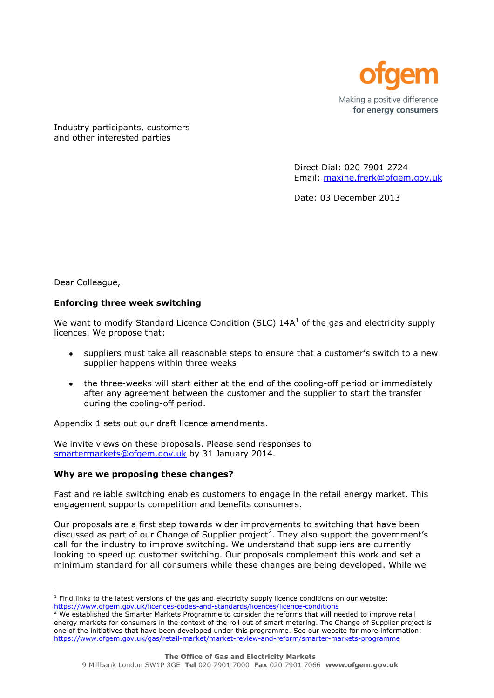

Industry participants, customers and other interested parties

> Direct Dial: 020 7901 2724 Email: [maxine.frerk@ofgem.gov.uk](mailto:maxine.frerk@ofgem.gov.uk)

Date: 03 December 2013

Dear Colleague,

## **Enforcing three week switching**

We want to modify Standard Licence Condition (SLC)  $14A<sup>1</sup>$  of the gas and electricity supply licences. We propose that:

- $\bullet$ suppliers must take all reasonable steps to ensure that a customer's switch to a new supplier happens within three weeks
- the three-weeks will start either at the end of the cooling-off period or immediately after any agreement between the customer and the supplier to start the transfer during the cooling-off period.

Appendix 1 sets out our draft licence amendments.

We invite views on these proposals. Please send responses to [smartermarkets@ofgem.gov.uk](mailto:smartermarkets@ofgem.gov.uk) by 31 January 2014.

## **Why are we proposing these changes?**

Fast and reliable switching enables customers to engage in the retail energy market. This engagement supports competition and benefits consumers.

Our proposals are a first step towards wider improvements to switching that have been discussed as part of our Change of Supplier project<sup>2</sup>. They also support the government's call for the industry to improve switching. We understand that suppliers are currently looking to speed up customer switching. Our proposals complement this work and set a minimum standard for all consumers while these changes are being developed. While we

l  $<sup>1</sup>$  Find links to the latest versions of the gas and electricity supply licence conditions on our website:</sup> <https://www.ofgem.gov.uk/licences-codes-and-standards/licences/licence-conditions>

 $2$  We established the Smarter Markets Programme to consider the reforms that will needed to improve retail energy markets for consumers in the context of the roll out of smart metering. The Change of Supplier project is one of the initiatives that have been developed under this programme. See our website for more information: <https://www.ofgem.gov.uk/gas/retail-market/market-review-and-reform/smarter-markets-programme>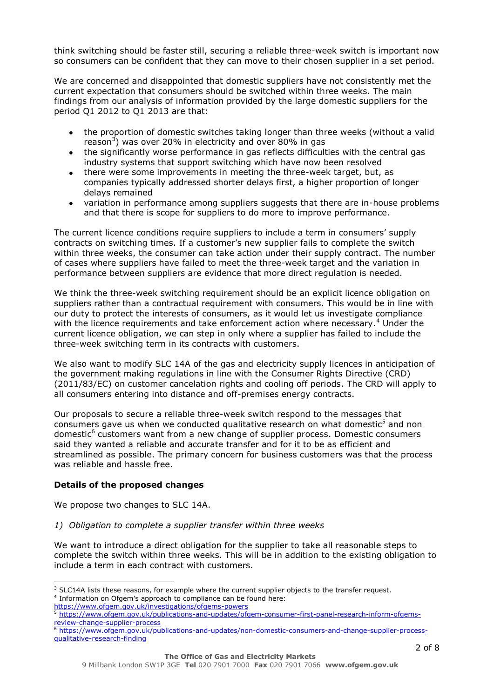think switching should be faster still, securing a reliable three-week switch is important now so consumers can be confident that they can move to their chosen supplier in a set period.

We are concerned and disappointed that domestic suppliers have not consistently met the current expectation that consumers should be switched within three weeks. The main findings from our analysis of information provided by the large domestic suppliers for the period Q1 2012 to Q1 2013 are that:

- the proportion of domestic switches taking longer than three weeks (without a valid  $\bullet$ reason<sup>3</sup>) was over 20% in electricity and over 80% in gas
- the significantly worse performance in gas reflects difficulties with the central gas  $\bullet$ industry systems that support switching which have now been resolved
- there were some improvements in meeting the three-week target, but, as  $\bullet$ companies typically addressed shorter delays first, a higher proportion of longer delays remained
- variation in performance among suppliers suggests that there are in-house problems and that there is scope for suppliers to do more to improve performance.

The current licence conditions require suppliers to include a term in consumers' supply contracts on switching times. If a customer's new supplier fails to complete the switch within three weeks, the consumer can take action under their supply contract. The number of cases where suppliers have failed to meet the three-week target and the variation in performance between suppliers are evidence that more direct regulation is needed.

We think the three-week switching requirement should be an explicit licence obligation on suppliers rather than a contractual requirement with consumers. This would be in line with our duty to protect the interests of consumers, as it would let us investigate compliance with the licence requirements and take enforcement action where necessary.<sup>4</sup> Under the current licence obligation, we can step in only where a supplier has failed to include the three-week switching term in its contracts with customers.

We also want to modify SLC 14A of the gas and electricity supply licences in anticipation of the government making regulations in line with the Consumer Rights Directive (CRD) (2011/83/EC) on customer cancelation rights and cooling off periods. The CRD will apply to all consumers entering into distance and off-premises energy contracts.

Our proposals to secure a reliable three-week switch respond to the messages that consumers gave us when we conducted qualitative research on what domestic<sup>5</sup> and non domestic<sup>6</sup> customers want from a new change of supplier process. Domestic consumers said they wanted a reliable and accurate transfer and for it to be as efficient and streamlined as possible. The primary concern for business customers was that the process was reliable and hassle free.

# **Details of the proposed changes**

We propose two changes to SLC 14A.

## *1) Obligation to complete a supplier transfer within three weeks*

We want to introduce a direct obligation for the supplier to take all reasonable steps to complete the switch within three weeks. This will be in addition to the existing obligation to include a term in each contract with customers.

l  $3$  SLC14A lists these reasons, for example where the current supplier objects to the transfer request. <sup>4</sup> Information on Ofgem's approach to compliance can be found here:

<https://www.ofgem.gov.uk/investigations/ofgems-powers>

[https://www.ofgem.gov.uk/publications-and-updates/ofgem-consumer-first-panel-research-inform-ofgems](https://www.ofgem.gov.uk/publications-and-updates/ofgem-consumer-first-panel-research-inform-ofgems-review-change-supplier-process)[review-change-supplier-process](https://www.ofgem.gov.uk/publications-and-updates/ofgem-consumer-first-panel-research-inform-ofgems-review-change-supplier-process)

 $6$  [https://www.ofgem.gov.uk/publications-and-updates/non-domestic-consumers-and-change-supplier-process](https://www.ofgem.gov.uk/publications-and-updates/non-domestic-consumers-and-change-supplier-process-qualitative-research-finding)[qualitative-research-finding](https://www.ofgem.gov.uk/publications-and-updates/non-domestic-consumers-and-change-supplier-process-qualitative-research-finding)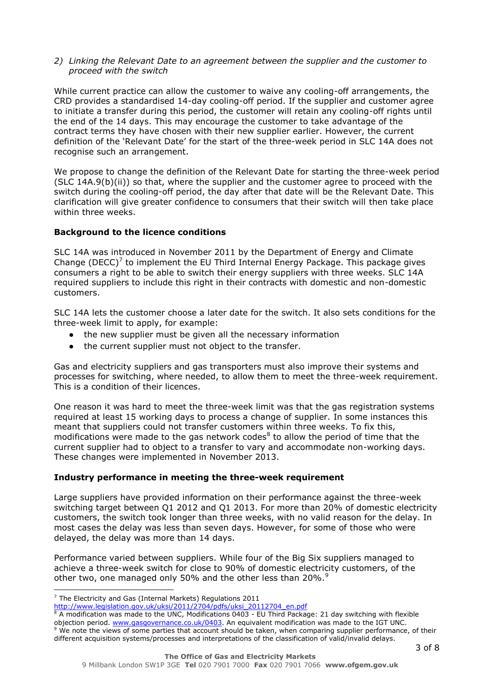## *2) Linking the Relevant Date to an agreement between the supplier and the customer to proceed with the switch*

While current practice can allow the customer to waive any cooling-off arrangements, the CRD provides a standardised 14-day cooling-off period. If the supplier and customer agree to initiate a transfer during this period, the customer will retain any cooling-off rights until the end of the 14 days. This may encourage the customer to take advantage of the contract terms they have chosen with their new supplier earlier. However, the current definition of the 'Relevant Date' for the start of the three-week period in SLC 14A does not recognise such an arrangement.

We propose to change the definition of the Relevant Date for starting the three-week period  $(SLC 14A.9(b)(ii))$  so that, where the supplier and the customer agree to proceed with the switch during the cooling-off period, the day after that date will be the Relevant Date. This clarification will give greater confidence to consumers that their switch will then take place within three weeks.

## **Background to the licence conditions**

SLC 14A was introduced in November 2011 by the Department of Energy and Climate Change (DECC)<sup>7</sup> to implement the EU Third Internal Energy Package. This package gives consumers a right to be able to switch their energy suppliers with three weeks. SLC 14A required suppliers to include this right in their contracts with domestic and non-domestic customers.

SLC 14A lets the customer choose a later date for the switch. It also sets conditions for the three-week limit to apply, for example:

- the new supplier must be given all the necessary information
- the current supplier must not object to the transfer.  $\bullet$

Gas and electricity suppliers and gas transporters must also improve their systems and processes for switching, where needed, to allow them to meet the three-week requirement. This is a condition of their licences.

One reason it was hard to meet the three-week limit was that the gas registration systems required at least 15 working days to process a change of supplier. In some instances this meant that suppliers could not transfer customers within three weeks. To fix this, modifications were made to the gas network codes $8$  to allow the period of time that the current supplier had to object to a transfer to vary and accommodate non-working days. These changes were implemented in November 2013.

## **Industry performance in meeting the three-week requirement**

Large suppliers have provided information on their performance against the three-week switching target between Q1 2012 and Q1 2013. For more than 20% of domestic electricity customers, the switch took longer than three weeks, with no valid reason for the delay. In most cases the delay was less than seven days. However, for some of those who were delayed, the delay was more than 14 days.

Performance varied between suppliers. While four of the Big Six suppliers managed to achieve a three-week switch for close to 90% of domestic electricity customers, of the other two, one managed only 50% and the other less than 20%.<sup>9</sup>

l

We note the views of some parties that account should be taken, when comparing supplier performance, of their different acquisition systems/processes and interpretations of the classification of valid/invalid delays.

 $7$  The Electricity and Gas (Internal Markets) Regulations 2011

[http://www.legislation.gov.uk/uksi/2011/2704/pdfs/uksi\\_20112704\\_en.pdf](http://www.legislation.gov.uk/uksi/2011/2704/pdfs/uksi_20112704_en.pdf)

A modification was made to the UNC, Modifications 0403 - EU Third Package: 21 day switching with flexible objection period. [www.gasgovernance.co.uk/0403.](file:///C:/Documents%20and%20Settings/wallacea/Local%20Settings/Temporary%20Internet%20Files/Content.Outlook/K572DCI2/www.gasgovernance.co.uk/0403) An equivalent modification was made to the IGT UNC.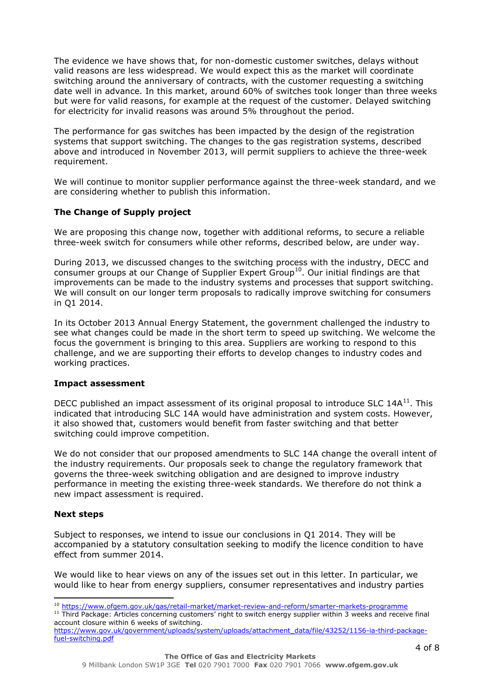The evidence we have shows that, for non-domestic customer switches, delays without valid reasons are less widespread. We would expect this as the market will coordinate switching around the anniversary of contracts, with the customer requesting a switching date well in advance. In this market, around 60% of switches took longer than three weeks but were for valid reasons, for example at the request of the customer. Delayed switching for electricity for invalid reasons was around 5% throughout the period.

The performance for gas switches has been impacted by the design of the registration systems that support switching. The changes to the gas registration systems, described above and introduced in November 2013, will permit suppliers to achieve the three-week requirement.

We will continue to monitor supplier performance against the three-week standard, and we are considering whether to publish this information.

# **The Change of Supply project**

We are proposing this change now, together with additional reforms, to secure a reliable three-week switch for consumers while other reforms, described below, are under way.

During 2013, we discussed changes to the switching process with the industry, DECC and consumer groups at our Change of Supplier Expert Group<sup>10</sup>. Our initial findings are that improvements can be made to the industry systems and processes that support switching. We will consult on our longer term proposals to radically improve switching for consumers in Q1 2014.

In its October 2013 Annual Energy Statement, the government challenged the industry to see what changes could be made in the short term to speed up switching. We welcome the focus the government is bringing to this area. Suppliers are working to respond to this challenge, and we are supporting their efforts to develop changes to industry codes and working practices.

## **Impact assessment**

DECC published an impact assessment of its original proposal to introduce SLC  $14A<sup>11</sup>$ . This indicated that introducing SLC 14A would have administration and system costs. However, it also showed that, customers would benefit from faster switching and that better switching could improve competition.

We do not consider that our proposed amendments to SLC 14A change the overall intent of the industry requirements. Our proposals seek to change the regulatory framework that governs the three-week switching obligation and are designed to improve industry performance in meeting the existing three-week standards. We therefore do not think a new impact assessment is required.

## **Next steps**

l

Subject to responses, we intend to issue our conclusions in Q1 2014. They will be accompanied by a statutory consultation seeking to modify the licence condition to have effect from summer 2014.

We would like to hear views on any of the issues set out in this letter. In particular, we would like to hear from energy suppliers, consumer representatives and industry parties

<sup>11</sup> Third Package: Articles concerning customers' right to switch energy supplier within 3 weeks and receive final account closure within 6 weeks of switching.

<sup>&</sup>lt;sup>10</sup> <https://www.ofgem.gov.uk/gas/retail-market/market-review-and-reform/smarter-markets-programme>

[https://www.gov.uk/government/uploads/system/uploads/attachment\\_data/file/43252/1156-ia-third-package](https://www.gov.uk/government/uploads/system/uploads/attachment_data/file/43252/1156-ia-third-package-fuel-switching.pdf)[fuel-switching.pdf](https://www.gov.uk/government/uploads/system/uploads/attachment_data/file/43252/1156-ia-third-package-fuel-switching.pdf)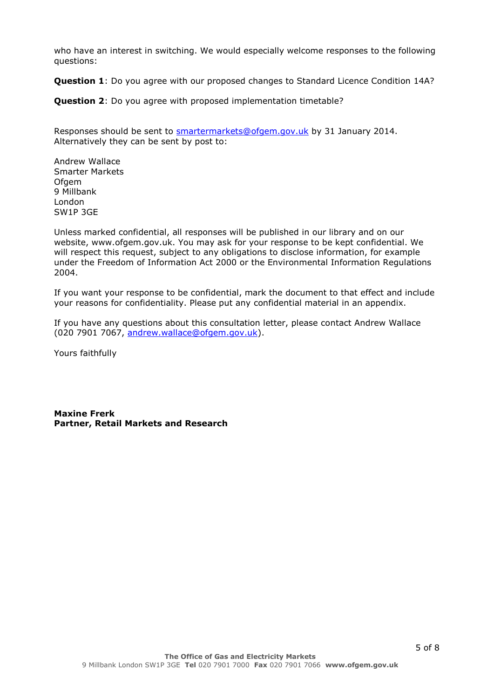who have an interest in switching. We would especially welcome responses to the following questions:

**Question 1**: Do you agree with our proposed changes to Standard Licence Condition 14A?

**Question 2**: Do you agree with proposed implementation timetable?

Responses should be sent to **smartermarkets@ofgem.gov.uk** by 31 January 2014. Alternatively they can be sent by post to:

Andrew Wallace Smarter Markets **Ofgem** 9 Millbank London SW1P 3GE

Unless marked confidential, all responses will be published in our library and on our website, www.ofgem.gov.uk. You may ask for your response to be kept confidential. We will respect this request, subject to any obligations to disclose information, for example under the Freedom of Information Act 2000 or the Environmental Information Regulations 2004.

If you want your response to be confidential, mark the document to that effect and include your reasons for confidentiality. Please put any confidential material in an appendix.

If you have any questions about this consultation letter, please contact Andrew Wallace (020 7901 7067, [andrew.wallace@ofgem.gov.uk\)](mailto:andrew.wallace@ofgem.gov.uk).

Yours faithfully

**Maxine Frerk Partner, Retail Markets and Research**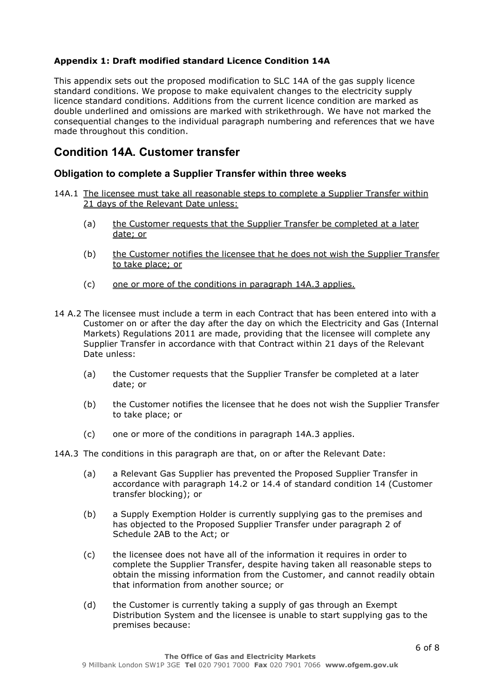# **Appendix 1: Draft modified standard Licence Condition 14A**

This appendix sets out the proposed modification to SLC 14A of the gas supply licence standard conditions. We propose to make equivalent changes to the electricity supply licence standard conditions. Additions from the current licence condition are marked as double underlined and omissions are marked with strikethrough. We have not marked the consequential changes to the individual paragraph numbering and references that we have made throughout this condition.

# **Condition 14A. Customer transfer**

# **Obligation to complete a Supplier Transfer within three weeks**

- 14A.1 The licensee must take all reasonable steps to complete a Supplier Transfer within 21 days of the Relevant Date unless:
	- (a) the Customer requests that the Supplier Transfer be completed at a later date; or
	- (b) the Customer notifies the licensee that he does not wish the Supplier Transfer to take place; or
	- (c) one or more of the conditions in paragraph 14A.3 applies.
- 14 A.2 The licensee must include a term in each Contract that has been entered into with a Customer on or after the day after the day on which the Electricity and Gas (Internal Markets) Regulations 2011 are made, providing that the licensee will complete any Supplier Transfer in accordance with that Contract within 21 days of the Relevant Date unless:
	- (a) the Customer requests that the Supplier Transfer be completed at a later date; or
	- (b) the Customer notifies the licensee that he does not wish the Supplier Transfer to take place; or
	- (c) one or more of the conditions in paragraph 14A.3 applies.

14A.3 The conditions in this paragraph are that, on or after the Relevant Date:

- (a) a Relevant Gas Supplier has prevented the Proposed Supplier Transfer in accordance with paragraph 14.2 or 14.4 of standard condition 14 (Customer transfer blocking); or
- (b) a Supply Exemption Holder is currently supplying gas to the premises and has objected to the Proposed Supplier Transfer under paragraph 2 of Schedule 2AB to the Act; or
- (c) the licensee does not have all of the information it requires in order to complete the Supplier Transfer, despite having taken all reasonable steps to obtain the missing information from the Customer, and cannot readily obtain that information from another source; or
- (d) the Customer is currently taking a supply of gas through an Exempt Distribution System and the licensee is unable to start supplying gas to the premises because: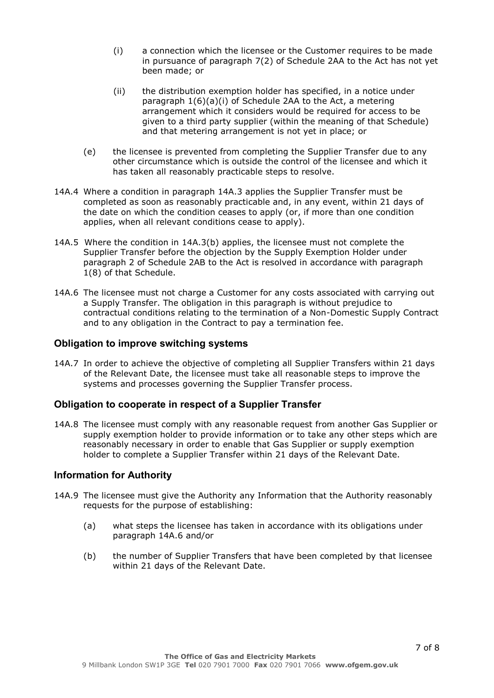- (i) a connection which the licensee or the Customer requires to be made in pursuance of paragraph 7(2) of Schedule 2AA to the Act has not yet been made; or
- (ii) the distribution exemption holder has specified, in a notice under paragraph 1(6)(a)(i) of Schedule 2AA to the Act, a metering arrangement which it considers would be required for access to be given to a third party supplier (within the meaning of that Schedule) and that metering arrangement is not yet in place; or
- (e) the licensee is prevented from completing the Supplier Transfer due to any other circumstance which is outside the control of the licensee and which it has taken all reasonably practicable steps to resolve.
- 14A.4 Where a condition in paragraph 14A.3 applies the Supplier Transfer must be completed as soon as reasonably practicable and, in any event, within 21 days of the date on which the condition ceases to apply (or, if more than one condition applies, when all relevant conditions cease to apply).
- 14A.5 Where the condition in 14A.3(b) applies, the licensee must not complete the Supplier Transfer before the objection by the Supply Exemption Holder under paragraph 2 of Schedule 2AB to the Act is resolved in accordance with paragraph 1(8) of that Schedule.
- 14A.6 The licensee must not charge a Customer for any costs associated with carrying out a Supply Transfer. The obligation in this paragraph is without prejudice to contractual conditions relating to the termination of a Non-Domestic Supply Contract and to any obligation in the Contract to pay a termination fee.

# **Obligation to improve switching systems**

14A.7 In order to achieve the objective of completing all Supplier Transfers within 21 days of the Relevant Date, the licensee must take all reasonable steps to improve the systems and processes governing the Supplier Transfer process.

# **Obligation to cooperate in respect of a Supplier Transfer**

14A.8 The licensee must comply with any reasonable request from another Gas Supplier or supply exemption holder to provide information or to take any other steps which are reasonably necessary in order to enable that Gas Supplier or supply exemption holder to complete a Supplier Transfer within 21 days of the Relevant Date.

# **Information for Authority**

- 14A.9 The licensee must give the Authority any Information that the Authority reasonably requests for the purpose of establishing:
	- (a) what steps the licensee has taken in accordance with its obligations under paragraph 14A.6 and/or
	- (b) the number of Supplier Transfers that have been completed by that licensee within 21 days of the Relevant Date.